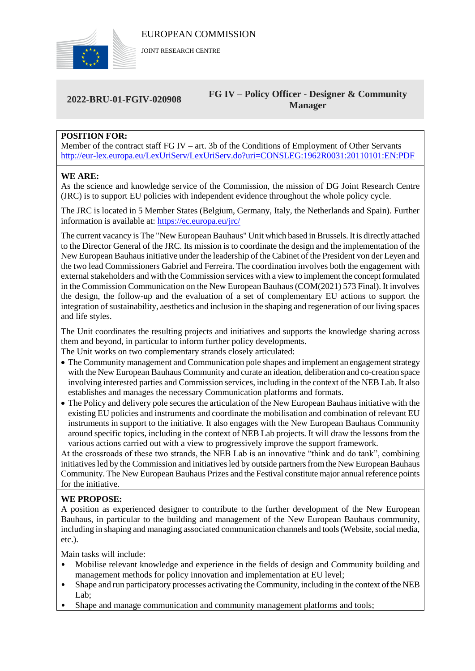

JOINT RESEARCH CENTRE

# **2022-BRU-01-FGIV-020908**

## **FG IV – Policy Officer - Designer & Community Manager**

# **POSITION FOR:**

Member of the contract staff FG IV – art. 3b of the Conditions of Employment of Other Servants <http://eur-lex.europa.eu/LexUriServ/LexUriServ.do?uri=CONSLEG:1962R0031:20110101:EN:PDF>

### **WE ARE:**

As the science and knowledge service of the Commission, the mission of DG Joint Research Centre (JRC) is to support EU policies with independent evidence throughout the whole policy cycle.

The JRC is located in 5 Member States (Belgium, Germany, Italy, the Netherlands and Spain). Further information is available at: <https://ec.europa.eu/jrc/>

The current vacancy is The "New European Bauhaus" Unit which based in Brussels. It is directly attached to the Director General of the JRC. Its mission is to coordinate the design and the implementation of the New European Bauhaus initiative under the leadership of the Cabinet of the President von der Leyen and the two lead Commissioners Gabriel and Ferreira. The coordination involves both the engagement with external stakeholders and with the Commission services with a view to implement the concept formulated in the Commission Communication on the New European Bauhaus (COM(2021) 573 Final). It involves the design, the follow-up and the evaluation of a set of complementary EU actions to support the integration of sustainability, aesthetics and inclusion in the shaping and regeneration of our living spaces and life styles.

The Unit coordinates the resulting projects and initiatives and supports the knowledge sharing across them and beyond, in particular to inform further policy developments.

The Unit works on two complementary strands closely articulated:

- The Community management and Communication pole shapes and implement an engagement strategy with the New European Bauhaus Community and curate an ideation, deliberation and co-creation space involving interested parties and Commission services, including in the context of the NEB Lab. It also establishes and manages the necessary Communication platforms and formats.
- The Policy and delivery pole secures the articulation of the New European Bauhaus initiative with the existing EU policies and instruments and coordinate the mobilisation and combination of relevant EU instruments in support to the initiative. It also engages with the New European Bauhaus Community around specific topics, including in the context of NEB Lab projects. It will draw the lessons from the various actions carried out with a view to progressively improve the support framework.

At the crossroads of these two strands, the NEB Lab is an innovative "think and do tank", combining initiatives led by the Commission and initiatives led by outside partners from the New European Bauhaus Community. The New European Bauhaus Prizes and the Festival constitute major annual reference points for the initiative.

#### **WE PROPOSE:**

A position as experienced designer to contribute to the further development of the New European Bauhaus, in particular to the building and management of the New European Bauhaus community, including in shaping and managing associated communication channels and tools (Website, social media, etc.).

Main tasks will include:

- Mobilise relevant knowledge and experience in the fields of design and Community building and management methods for policy innovation and implementation at EU level;
- Shape and run participatory processes activating the Community, including in the context of the NEB Lab;
- Shape and manage communication and community management platforms and tools;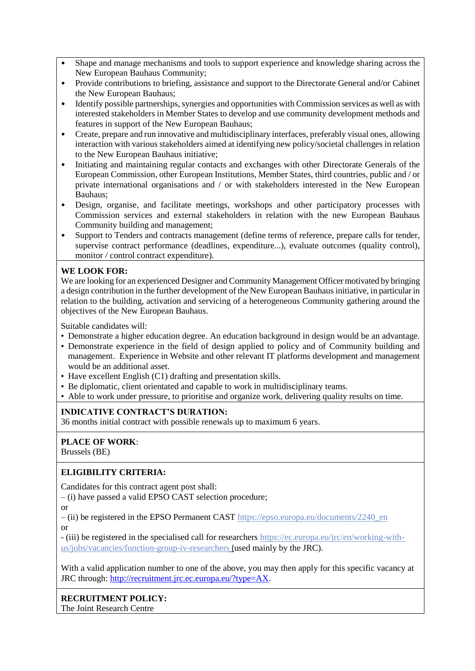- Shape and manage mechanisms and tools to support experience and knowledge sharing across the New European Bauhaus Community;
- Provide contributions to briefing, assistance and support to the Directorate General and/or Cabinet the New European Bauhaus;
- Identify possible partnerships, synergies and opportunities with Commission services as well as with interested stakeholders in Member States to develop and use community development methods and features in support of the New European Bauhaus;
- Create, prepare and run innovative and multidisciplinary interfaces, preferably visual ones, allowing interaction with various stakeholders aimed at identifying new policy/societal challenges in relation to the New European Bauhaus initiative;
- Initiating and maintaining regular contacts and exchanges with other Directorate Generals of the European Commission, other European Institutions, Member States, third countries, public and / or private international organisations and / or with stakeholders interested in the New European Bauhaus;
- Design, organise, and facilitate meetings, workshops and other participatory processes with Commission services and external stakeholders in relation with the new European Bauhaus Community building and management;
- Support to Tenders and contracts management (define terms of reference, prepare calls for tender, supervise contract performance (deadlines, expenditure...), evaluate outcomes (quality control), monitor / control contract expenditure).

#### **WE LOOK FOR:**

We are looking for an experienced Designer and Community Management Officer motivated by bringing a design contribution in the further development of the New European Bauhaus initiative, in particular in relation to the building, activation and servicing of a heterogeneous Community gathering around the objectives of the New European Bauhaus.

Suitable candidates will:

- Demonstrate a higher education degree. An education background in design would be an advantage.
- Demonstrate experience in the field of design applied to policy and of Community building and management. Experience in Website and other relevant IT platforms development and management would be an additional asset.
- Have excellent English (C1) drafting and presentation skills.
- Be diplomatic, client orientated and capable to work in multidisciplinary teams.
- Able to work under pressure, to prioritise and organize work, delivering quality results on time.

#### **INDICATIVE CONTRACT'S DURATION:**

36 months initial contract with possible renewals up to maximum 6 years.

# **PLACE OF WORK**:

Brussels (BE)

# **ELIGIBILITY CRITERIA:**

Candidates for this contract agent post shall:

– (i) have passed a valid EPSO CAST selection procedure;

or

 – (ii) be registered in the EPSO Permanent CAST [https://epso.europa.eu/documents/2240\\_en](https://epso.europa.eu/documents/2240_en) or

 - (iii) be registered in the specialised call for researchers [https://ec.europa.eu/jrc/en/working-with](https://ec.europa.eu/jrc/en/working-with-us/jobs/vacancies/function-group-iv-researchers)[us/jobs/vacancies/function-group-iv-researchers](https://ec.europa.eu/jrc/en/working-with-us/jobs/vacancies/function-group-iv-researchers) (used mainly by the JRC).

With a valid application number to one of the above, you may then apply for this specific vacancy at JRC through: [http://recruitment.jrc.ec.europa.eu/?type=AX.](http://recruitment.jrc.ec.europa.eu/?type=AX)

**RECRUITMENT POLICY:** The Joint Research Centre